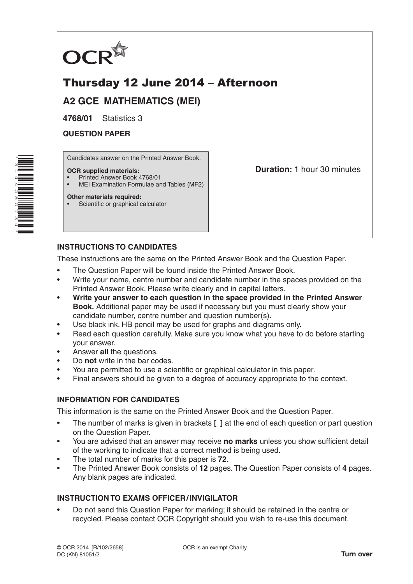

# Thursday 12 June 2014 – Afternoon

**A2 GCE MATHEMATICS (MEI)**

**4768/01** Statistics 3

**QUESTION PAPER**

Candidates answer on the Printed Answer Book.

### **OCR supplied materials:**

- Printed Answer Book 4768/01
- MEI Examination Formulae and Tables (MF2)

### **Other materials required:**

Scientific or graphical calculator

**Duration:** 1 hour 30 minutes

# **INSTRUCTIONS TO CANDIDATES**

These instructions are the same on the Printed Answer Book and the Question Paper.

- The Question Paper will be found inside the Printed Answer Book.
- Write your name, centre number and candidate number in the spaces provided on the Printed Answer Book. Please write clearly and in capital letters.
- **Write your answer to each question in the space provided in the Printed Answer Book.** Additional paper may be used if necessary but you must clearly show your candidate number, centre number and question number(s).
- Use black ink. HB pencil may be used for graphs and diagrams only.
- Read each question carefully. Make sure you know what you have to do before starting your answer.
- Answer **all** the questions.
- Do **not** write in the bar codes.
- You are permitted to use a scientific or graphical calculator in this paper.
- Final answers should be given to a degree of accuracy appropriate to the context.

# **INFORMATION FOR CANDIDATES**

This information is the same on the Printed Answer Book and the Question Paper.

- The number of marks is given in brackets **[ ]** at the end of each question or part question on the Question Paper.
- You are advised that an answer may receive **no marks** unless you show sufficient detail of the working to indicate that a correct method is being used.
- The total number of marks for this paper is **72**.
- The Printed Answer Book consists of **12** pages. The Question Paper consists of **4** pages. Any blank pages are indicated.

# **INSTRUCTION TO EXAMS OFFICER/INVIGILATOR**

• Do not send this Question Paper for marking; it should be retained in the centre or recycled. Please contact OCR Copyright should you wish to re-use this document.

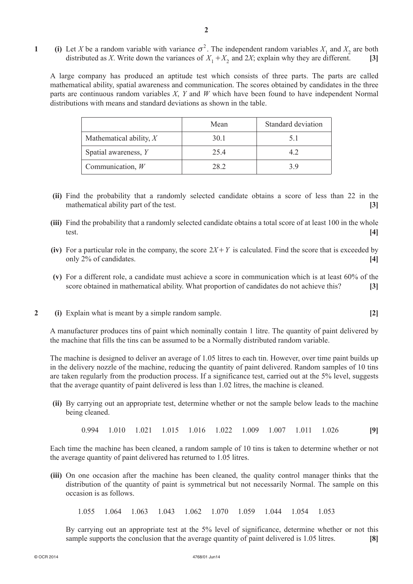**1** (i) Let *X* be a random variable with variance  $\sigma^2$ . The independent random variables  $X_1$  and  $X_2$  are both distributed as *X*. Write down the variances of  $X_1 + X_2$  and 2*X*; explain why they are different. **[3]** 

A large company has produced an aptitude test which consists of three parts. The parts are called mathematical ability, spatial awareness and communication. The scores obtained by candidates in the three parts are continuous random variables *X*, *Y* and *W* which have been found to have independent Normal distributions with means and standard deviations as shown in the table.

|                           | Mean | Standard deviation |
|---------------------------|------|--------------------|
| Mathematical ability, $X$ | 30.1 |                    |
| Spatial awareness, Y      | 254  | 42                 |
| Communication, $W$        | 28.2 | 3 Q                |

- **(ii)** Find the probability that a randomly selected candidate obtains a score of less than 22 in the mathematical ability part of the test. **[3]**
- **(iii)** Find the probability that a randomly selected candidate obtains a total score of at least 100 in the whole test. **[4]**
- **(iv)** For a particular role in the company, the score  $2X + Y$  is calculated. Find the score that is exceeded by only 2% of candidates. **[4]**
- **(v)**  For a different role, a candidate must achieve a score in communication which is at least 60% of the score obtained in mathematical ability. What proportion of candidates do not achieve this? **[3]**
- **2** (i) Explain what is meant by a simple random sample. **[2]**

A manufacturer produces tins of paint which nominally contain 1 litre. The quantity of paint delivered by the machine that fills the tins can be assumed to be a Normally distributed random variable.

The machine is designed to deliver an average of 1.05 litres to each tin. However, over time paint builds up in the delivery nozzle of the machine, reducing the quantity of paint delivered. Random samples of 10 tins are taken regularly from the production process. If a significance test, carried out at the 5% level, suggests that the average quantity of paint delivered is less than 1.02 litres, the machine is cleaned.

**(ii)** By carrying out an appropriate test, determine whether or not the sample below leads to the machine being cleaned.

0.994 1.010 1.021 1.015 1.016 1.022 1.009 1.007 1.011 1.026 **[9]**

Each time the machine has been cleaned, a random sample of 10 tins is taken to determine whether or not the average quantity of paint delivered has returned to 1.05 litres.

**(iii)** On one occasion after the machine has been cleaned, the quality control manager thinks that the distribution of the quantity of paint is symmetrical but not necessarily Normal. The sample on this occasion is as follows.

1.055 1.064 1.063 1.043 1.062 1.070 1.059 1.044 1.054 1.053

By carrying out an appropriate test at the 5% level of significance, determine whether or not this sample supports the conclusion that the average quantity of paint delivered is 1.05 litres. **[8]**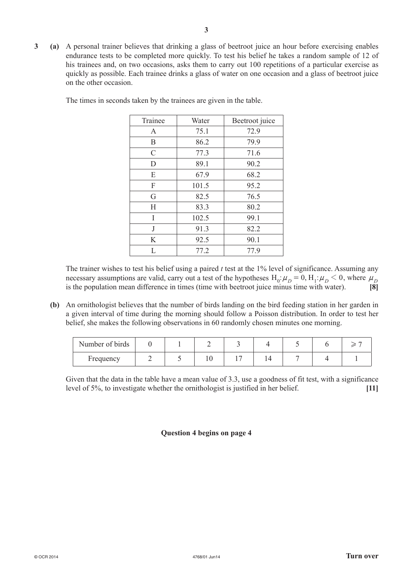**3 (a)**  A personal trainer believes that drinking a glass of beetroot juice an hour before exercising enables endurance tests to be completed more quickly. To test his belief he takes a random sample of 12 of his trainees and, on two occasions, asks them to carry out 100 repetitions of a particular exercise as quickly as possible. Each trainee drinks a glass of water on one occasion and a glass of beetroot juice on the other occasion.

| Trainee       | Water | Beetroot juice |  |  |
|---------------|-------|----------------|--|--|
| A             | 75.1  | 72.9           |  |  |
| B             | 86.2  | 79.9           |  |  |
| $\mathcal{C}$ | 77.3  | 71.6           |  |  |
| D             | 89.1  | 90.2           |  |  |
| E             | 67.9  | 68.2           |  |  |
| F             | 101.5 | 95.2           |  |  |
| G             | 82.5  | 76.5           |  |  |
| Н             | 83.3  | 80.2           |  |  |
| I             | 102.5 | 99.1           |  |  |
| J             | 91.3  | 82.2           |  |  |
| K             | 92.5  | 90.1           |  |  |
| L             | 77.2  | 77.9           |  |  |

The times in seconds taken by the trainees are given in the table.

The trainer wishes to test his belief using a paired  $t$  test at the  $1\%$  level of significance. Assuming any necessary assumptions are valid, carry out a test of the hypotheses  $H_0: \mu_D = 0$ ,  $H_1: \mu_D < 0$ , where  $\mu_D$  is the population mean difference in times (time with beetroot juice minus time with water). is the population mean difference in times (time with beetroot juice minus time with water). **[8]**

**(b)** An ornithologist believes that the number of birds landing on the bird feeding station in her garden in a given interval of time during the morning should follow a Poisson distribution. In order to test her belief, she makes the following observations in 60 randomly chosen minutes one morning.

| Number of birds |  |  |  |  |
|-----------------|--|--|--|--|
| Frequency       |  |  |  |  |

Given that the data in the table have a mean value of 3.3, use a goodness of fit test, with a significance level of 5%, to investigate whether the ornithologist is justified in her belief. **[11]**

# **Question 4 begins on page 4**